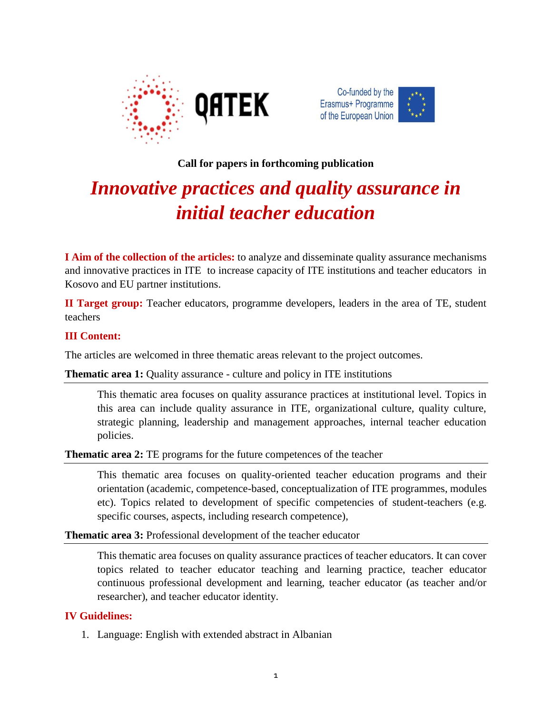



# **Call for papers in forthcoming publication**

# *Innovative practices and quality assurance in initial teacher education*

**I Aim of the collection of the articles:** to analyze and disseminate quality assurance mechanisms and innovative practices in ITE to increase capacity of ITE institutions and teacher educators in Kosovo and EU partner institutions.

**II Target group:** Teacher educators, programme developers, leaders in the area of TE, student teachers

### **III Content:**

The articles are welcomed in three thematic areas relevant to the project outcomes.

#### **Thematic area 1:** Quality assurance - culture and policy in ITE institutions

This thematic area focuses on quality assurance practices at institutional level. Topics in this area can include quality assurance in ITE, organizational culture, quality culture, strategic planning, leadership and management approaches, internal teacher education policies.

**Thematic area 2:** TE programs for the future competences of the teacher

This thematic area focuses on quality-oriented teacher education programs and their orientation (academic, competence-based, conceptualization of ITE programmes, modules etc). Topics related to development of specific competencies of student-teachers (e.g. specific courses, aspects, including research competence),

**Thematic area 3:** Professional development of the teacher educator

This thematic area focuses on quality assurance practices of teacher educators. It can cover topics related to teacher educator teaching and learning practice, teacher educator continuous professional development and learning, teacher educator (as teacher and/or researcher), and teacher educator identity.

## **IV Guidelines:**

1. Language: English with extended abstract in Albanian